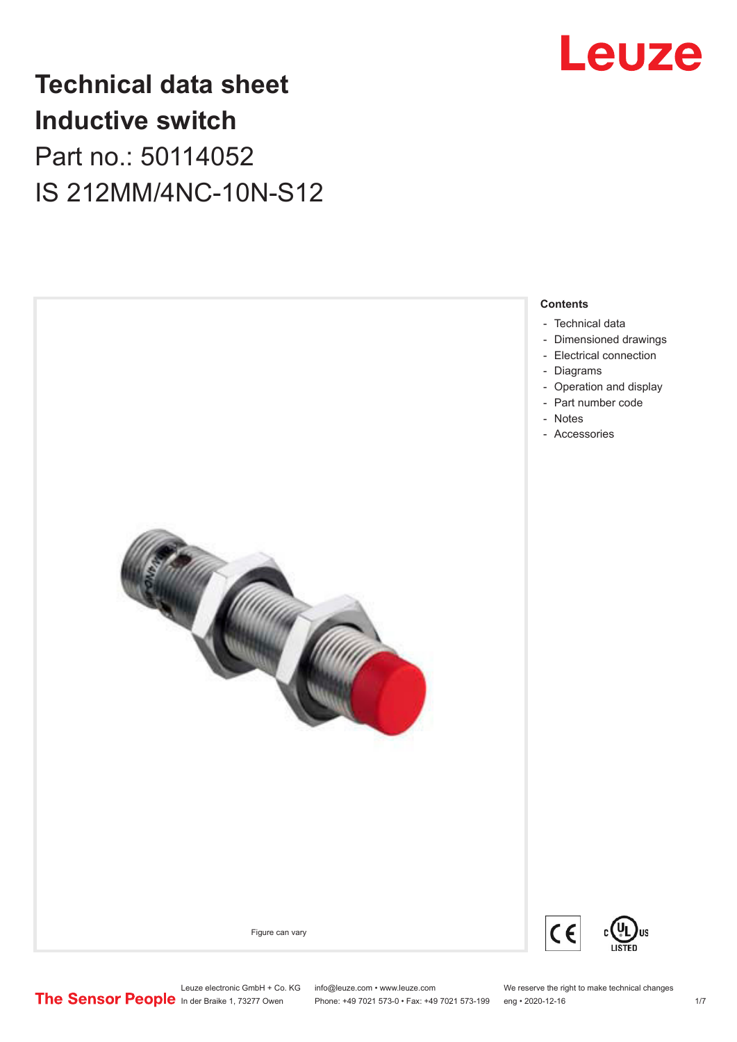

## **Technical data sheet Inductive switch** Part no.: 50114052 IS 212MM/4NC-10N-S12



- [Technical data](#page-1-0)
- [Dimensioned drawings](#page-2-0)
- [Electrical connection](#page-2-0)
- [Diagrams](#page-3-0)
- [Operation and display](#page-3-0)
- [Part number code](#page-4-0)
- Notes
- [Accessories](#page-5-0)





Figure can vary

Leuze electronic GmbH + Co. KG info@leuze.com • www.leuze.com We reserve the right to make technical changes<br> **The Sensor People** in der Braike 1, 73277 Owen Phone: +49 7021 573-0 • Fax: +49 7021 573-199 eng • 2020-12-16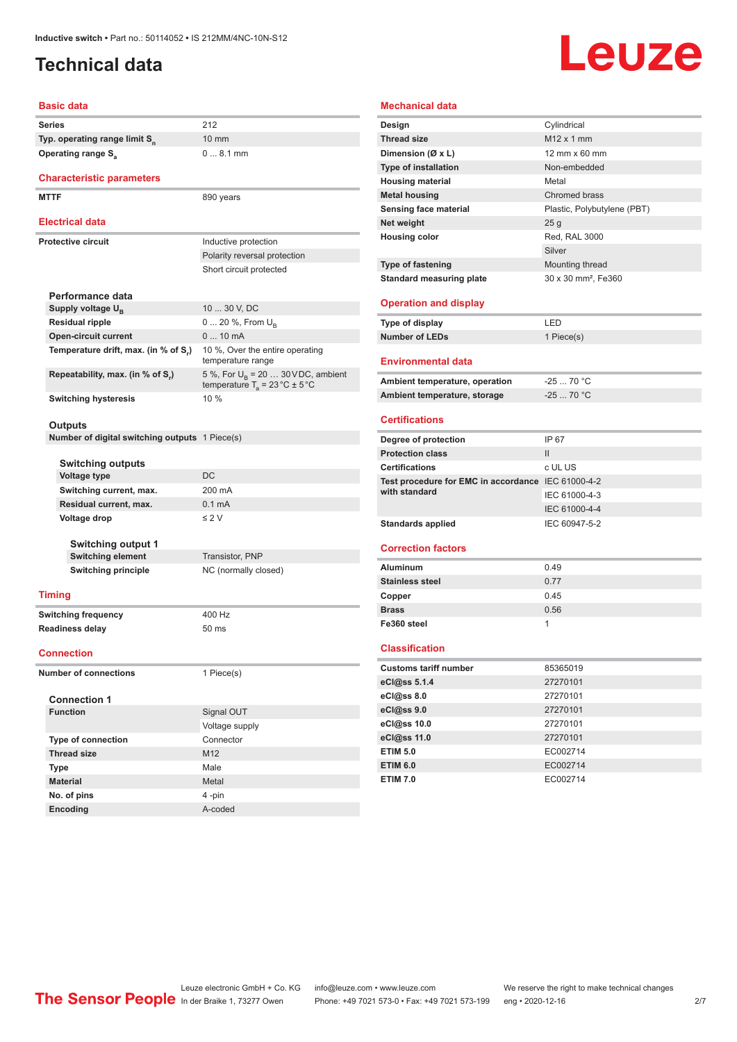#### <span id="page-1-0"></span>**Technical data**

# Leuze

### **Basic data**

| Series |                                                | 212                                                                                       |
|--------|------------------------------------------------|-------------------------------------------------------------------------------------------|
|        | Typ. operating range limit S <sub>n</sub>      | 10 mm                                                                                     |
|        | <b>Operating range S</b> <sub>a</sub>          | $08.1$ mm                                                                                 |
|        |                                                |                                                                                           |
|        | <b>Characteristic parameters</b>               |                                                                                           |
|        | <b>MTTF</b>                                    | 890 years                                                                                 |
|        | <b>Electrical data</b>                         |                                                                                           |
|        | <b>Protective circuit</b>                      |                                                                                           |
|        |                                                | Inductive protection<br>Polarity reversal protection                                      |
|        |                                                | Short circuit protected                                                                   |
|        |                                                |                                                                                           |
|        | Performance data                               |                                                                                           |
|        | Supply voltage U <sub>B</sub>                  | 10  30 V, DC                                                                              |
|        | <b>Residual ripple</b>                         | 0  20 %, From $U_{\rm B}$                                                                 |
|        | <b>Open-circuit current</b>                    | $010$ mA                                                                                  |
|        | Temperature drift, max. (in % of S.)           | 10 %, Over the entire operating<br>temperature range                                      |
|        | Repeatability, max. (in % of S.)               | 5 %, For $U_R$ = 20  30 V DC, ambient<br>temperature $T_a = 23 \degree C \pm 5 \degree C$ |
|        | <b>Switching hysteresis</b>                    | 10 %                                                                                      |
|        |                                                |                                                                                           |
|        | Outputs                                        |                                                                                           |
|        | Number of digital switching outputs 1 Piece(s) |                                                                                           |
|        | <b>Switching outputs</b>                       |                                                                                           |
|        | <b>Voltage type</b>                            | DC                                                                                        |
|        | Switching current, max.                        | 200 mA                                                                                    |
|        | Residual current, max.                         | 0.1 <sub>m</sub> A                                                                        |
|        | Voltage drop                                   | $\leq$ 2 V                                                                                |
|        |                                                |                                                                                           |
|        | Switching output 1                             |                                                                                           |
|        | <b>Switching element</b>                       | Transistor, PNP                                                                           |
|        | <b>Switching principle</b>                     | NC (normally closed)                                                                      |
|        | <b>Timing</b>                                  |                                                                                           |
|        | <b>Switching frequency</b>                     | 400 Hz                                                                                    |
|        | <b>Readiness delay</b>                         | 50 ms                                                                                     |
|        |                                                |                                                                                           |
|        | <b>Connection</b>                              |                                                                                           |
|        | <b>Number of connections</b>                   | 1 Piece(s)                                                                                |
|        | <b>Connection 1</b>                            |                                                                                           |
|        | <b>Function</b>                                | Signal OUT                                                                                |
|        |                                                | Voltage supply                                                                            |
|        | <b>Type of connection</b>                      | Connector                                                                                 |
|        | <b>Thread size</b>                             | M12                                                                                       |
|        | Type                                           | Male                                                                                      |
|        | <b>Material</b>                                | Metal                                                                                     |

| Mechanical data                                    |                                 |
|----------------------------------------------------|---------------------------------|
| Design                                             | Cylindrical                     |
| <b>Thread size</b>                                 | M <sub>12</sub> x 1 mm          |
| Dimension (Ø x L)                                  | 12 mm x 60 mm                   |
| <b>Type of installation</b>                        | Non-embedded                    |
| <b>Housing material</b>                            | Metal                           |
| <b>Metal housing</b>                               | Chromed brass                   |
| Sensing face material                              | Plastic, Polybutylene (PBT)     |
| Net weight                                         | 25 g                            |
| <b>Housing color</b>                               | Red, RAL 3000                   |
|                                                    | Silver                          |
| <b>Type of fastening</b>                           | Mounting thread                 |
| <b>Standard measuring plate</b>                    | 30 x 30 mm <sup>2</sup> , Fe360 |
|                                                    |                                 |
| <b>Operation and display</b>                       |                                 |
| Type of display                                    | LED                             |
| <b>Number of LEDs</b>                              | 1 Piece(s)                      |
|                                                    |                                 |
| <b>Environmental data</b>                          |                                 |
| Ambient temperature, operation                     | $-2570 °C$                      |
| Ambient temperature, storage                       | $-2570 °C$                      |
|                                                    |                                 |
| <b>Certifications</b>                              |                                 |
| Degree of protection                               | IP 67                           |
| <b>Protection class</b>                            | Ш                               |
| <b>Certifications</b>                              | c UL US                         |
| Test procedure for EMC in accordance IEC 61000-4-2 |                                 |
| with standard                                      | IEC 61000-4-3                   |
|                                                    | IEC 61000-4-4                   |
| <b>Standards applied</b>                           | IEC 60947-5-2                   |
|                                                    |                                 |
| <b>Correction factors</b>                          |                                 |
| Aluminum                                           | 0.49                            |
| <b>Stainless steel</b>                             | 0.77                            |
| Copper                                             | 0.45                            |
| <b>Brass</b>                                       | 0.56                            |
| Fe360 steel                                        | 1                               |
| <b>Classification</b>                              |                                 |
|                                                    |                                 |
| <b>Customs tariff number</b>                       | 85365019                        |
| eCl@ss 5.1.4                                       | 27270101                        |
| eCl@ss 8.0                                         | 27270101                        |
| eCl@ss 9.0                                         | 27270101                        |
| eCl@ss 10.0                                        | 27270101                        |
| eCl@ss 11.0                                        | 27270101                        |
| <b>ETIM 5.0</b>                                    | EC002714                        |
| <b>ETIM 6.0</b>                                    | EC002714                        |
| <b>ETIM 7.0</b>                                    | EC002714                        |

**No. of pins** 4 -pin **Encoding** A-coded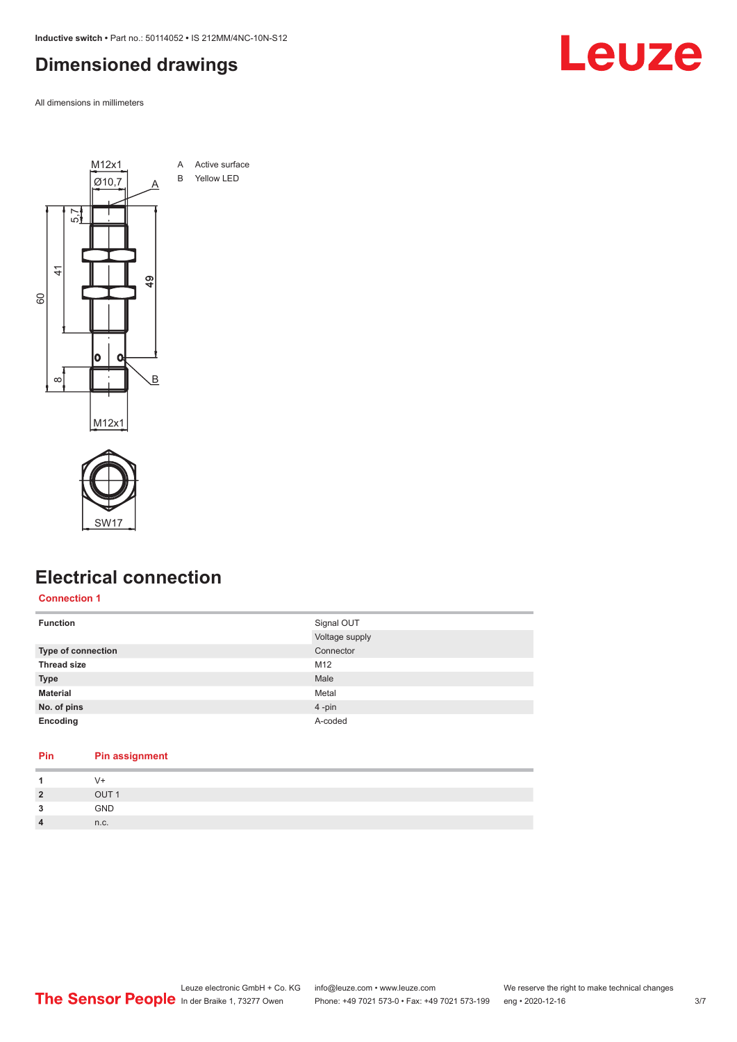<span id="page-2-0"></span>**Inductive switch •** Part no.: 50114052 **•** IS 212MM/4NC-10N-S12

#### **Dimensioned drawings**

All dimensions in millimeters





#### **Electrical connection**

**Connection 1**

| <b>Function</b>    | Signal OUT     |
|--------------------|----------------|
|                    | Voltage supply |
| Type of connection | Connector      |
| <b>Thread size</b> | M12            |
| <b>Type</b>        | Male           |
| <b>Material</b>    | Metal          |
| No. of pins        | $4 - pin$      |
| Encoding           | A-coded        |

#### **Pin Pin assignment**

|                | $V +$            |
|----------------|------------------|
| $\overline{2}$ | OUT <sub>1</sub> |
| 3              | GND              |
| $\overline{4}$ | n.c.             |

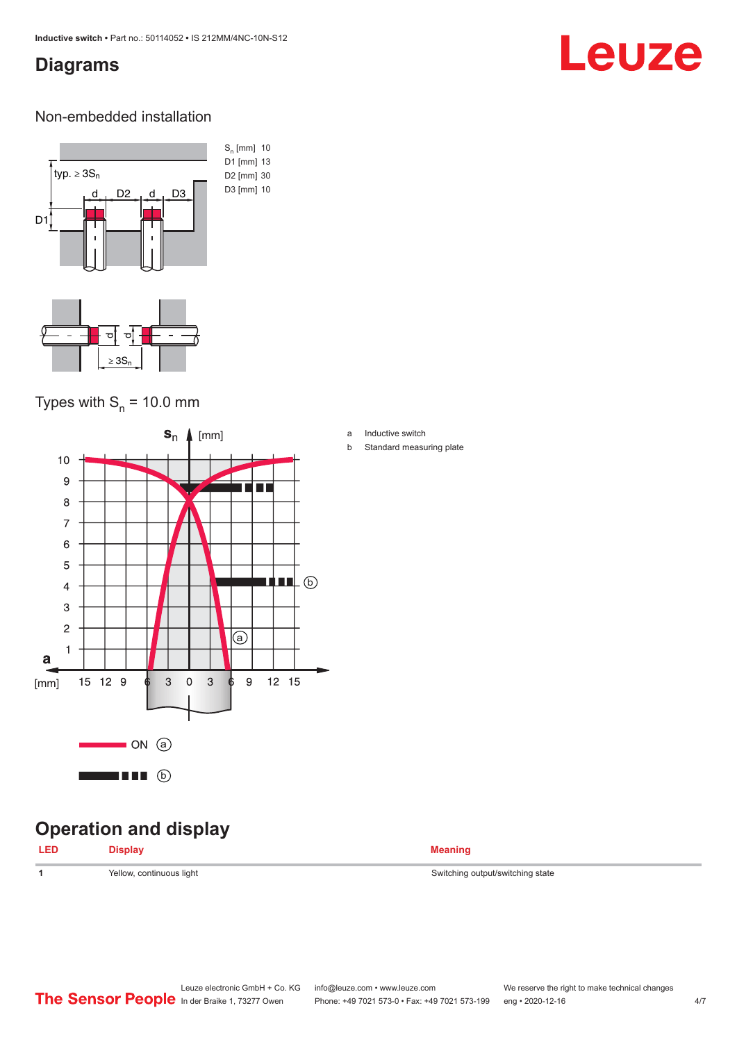#### <span id="page-3-0"></span>**Diagrams**

## Leuze

#### Non-embedded installation



#### Types with  $S_n$  = 10.0 mm



### **Operation and display**

| <b>LED</b> | <b>Display</b> | <b>Meaning</b> |
|------------|----------------|----------------|
|            |                |                |

1 **1** Yellow, continuous light Switching output/switching state

a Inductive switch

b Standard measuring plate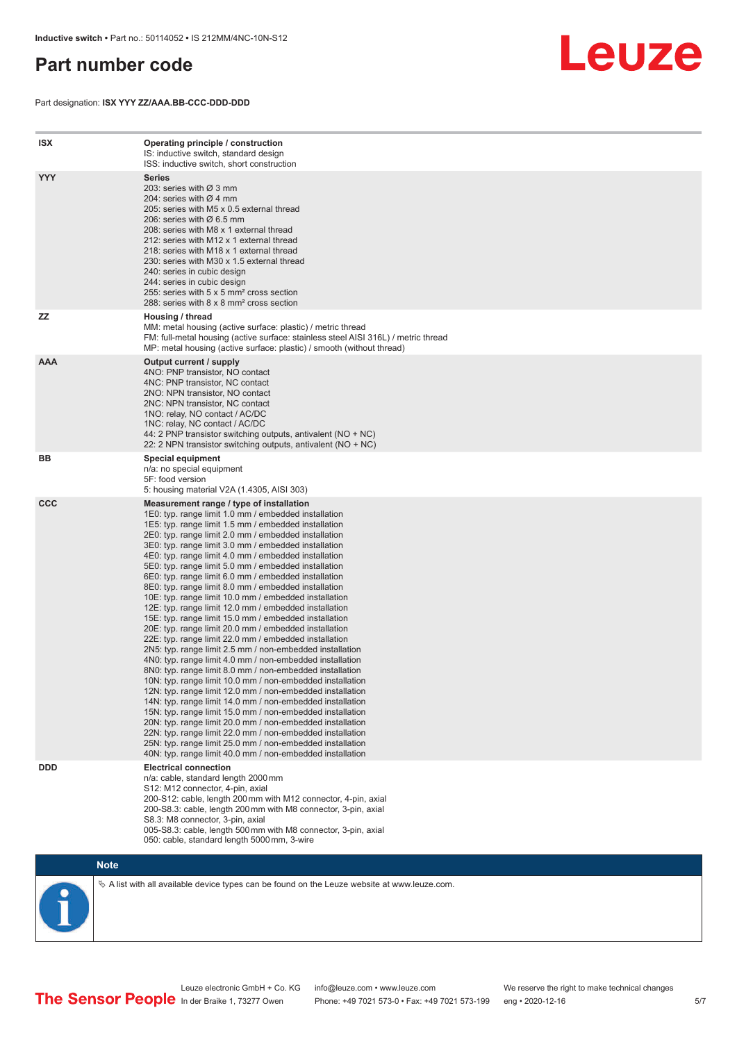#### <span id="page-4-0"></span>**Part number code**

Part designation: **ISX YYY ZZ/AAA.BB-CCC-DDD-DDD**



| <b>ISX</b> | Operating principle / construction<br>IS: inductive switch, standard design<br>ISS: inductive switch, short construction                                                                                                                                                                                                                                                                                                                                                                                                                                                                                                                                                                                                                                                                                                                                                                                                                                                                                                                                                                                                                                                                                                                                                                                                                                                                                                                                                                          |
|------------|---------------------------------------------------------------------------------------------------------------------------------------------------------------------------------------------------------------------------------------------------------------------------------------------------------------------------------------------------------------------------------------------------------------------------------------------------------------------------------------------------------------------------------------------------------------------------------------------------------------------------------------------------------------------------------------------------------------------------------------------------------------------------------------------------------------------------------------------------------------------------------------------------------------------------------------------------------------------------------------------------------------------------------------------------------------------------------------------------------------------------------------------------------------------------------------------------------------------------------------------------------------------------------------------------------------------------------------------------------------------------------------------------------------------------------------------------------------------------------------------------|
| <b>YYY</b> | <b>Series</b><br>203: series with Ø 3 mm<br>204: series with $\varnothing$ 4 mm<br>205: series with M5 x 0.5 external thread<br>206: series with $\varnothing$ 6.5 mm<br>208: series with M8 x 1 external thread<br>212: series with M12 x 1 external thread<br>218: series with M18 x 1 external thread<br>230: series with M30 x 1.5 external thread<br>240: series in cubic design<br>244: series in cubic design<br>255: series with 5 x 5 mm <sup>2</sup> cross section<br>288: series with 8 x 8 mm <sup>2</sup> cross section                                                                                                                                                                                                                                                                                                                                                                                                                                                                                                                                                                                                                                                                                                                                                                                                                                                                                                                                                              |
| ZZ         | Housing / thread<br>MM: metal housing (active surface: plastic) / metric thread<br>FM: full-metal housing (active surface: stainless steel AISI 316L) / metric thread<br>MP: metal housing (active surface: plastic) / smooth (without thread)                                                                                                                                                                                                                                                                                                                                                                                                                                                                                                                                                                                                                                                                                                                                                                                                                                                                                                                                                                                                                                                                                                                                                                                                                                                    |
| <b>AAA</b> | Output current / supply<br>4NO: PNP transistor, NO contact<br>4NC: PNP transistor, NC contact<br>2NO: NPN transistor, NO contact<br>2NC: NPN transistor, NC contact<br>1NO: relay, NO contact / AC/DC<br>1NC: relay, NC contact / AC/DC<br>44: 2 PNP transistor switching outputs, antivalent (NO + NC)<br>22: 2 NPN transistor switching outputs, antivalent (NO + NC)                                                                                                                                                                                                                                                                                                                                                                                                                                                                                                                                                                                                                                                                                                                                                                                                                                                                                                                                                                                                                                                                                                                           |
| BB         | Special equipment<br>n/a: no special equipment<br>5F: food version<br>5: housing material V2A (1.4305, AISI 303)                                                                                                                                                                                                                                                                                                                                                                                                                                                                                                                                                                                                                                                                                                                                                                                                                                                                                                                                                                                                                                                                                                                                                                                                                                                                                                                                                                                  |
| <b>CCC</b> | Measurement range / type of installation<br>1E0: typ. range limit 1.0 mm / embedded installation<br>1E5: typ. range limit 1.5 mm / embedded installation<br>2E0: typ. range limit 2.0 mm / embedded installation<br>3E0: typ. range limit 3.0 mm / embedded installation<br>4E0: typ. range limit 4.0 mm / embedded installation<br>5E0: typ. range limit 5.0 mm / embedded installation<br>6E0: typ. range limit 6.0 mm / embedded installation<br>8E0: typ. range limit 8.0 mm / embedded installation<br>10E: typ. range limit 10.0 mm / embedded installation<br>12E: typ. range limit 12.0 mm / embedded installation<br>15E: typ. range limit 15.0 mm / embedded installation<br>20E: typ. range limit 20.0 mm / embedded installation<br>22E: typ. range limit 22.0 mm / embedded installation<br>2N5: typ. range limit 2.5 mm / non-embedded installation<br>4N0: typ. range limit 4.0 mm / non-embedded installation<br>8N0: typ. range limit 8.0 mm / non-embedded installation<br>10N: typ. range limit 10.0 mm / non-embedded installation<br>12N: typ. range limit 12.0 mm / non-embedded installation<br>14N: typ. range limit 14.0 mm / non-embedded installation<br>15N: typ. range limit 15.0 mm / non-embedded installation<br>20N: typ. range limit 20.0 mm / non-embedded installation<br>22N: typ. range limit 22.0 mm / non-embedded installation<br>25N: typ. range limit 25.0 mm / non-embedded installation<br>40N: typ. range limit 40.0 mm / non-embedded installation |
| <b>DDD</b> | <b>Electrical connection</b><br>n/a: cable, standard length 2000 mm<br>S12: M12 connector, 4-pin, axial<br>200-S12: cable, length 200 mm with M12 connector, 4-pin, axial<br>200-S8.3: cable, length 200 mm with M8 connector, 3-pin, axial<br>S8.3: M8 connector, 3-pin, axial<br>005-S8.3: cable, length 500 mm with M8 connector, 3-pin, axial<br>050: cable, standard length 5000 mm, 3-wire                                                                                                                                                                                                                                                                                                                                                                                                                                                                                                                                                                                                                                                                                                                                                                                                                                                                                                                                                                                                                                                                                                  |



 $\%$  A list with all available device types can be found on the Leuze website at www.leuze.com.

Leuze electronic GmbH + Co. KG info@leuze.com • www.leuze.com We reserve the right to make technical changes In der Braike 1, 73277 Owen Phone: +49 7021 573-0 • Fax: +49 7021 573-199 eng • 2020-12-16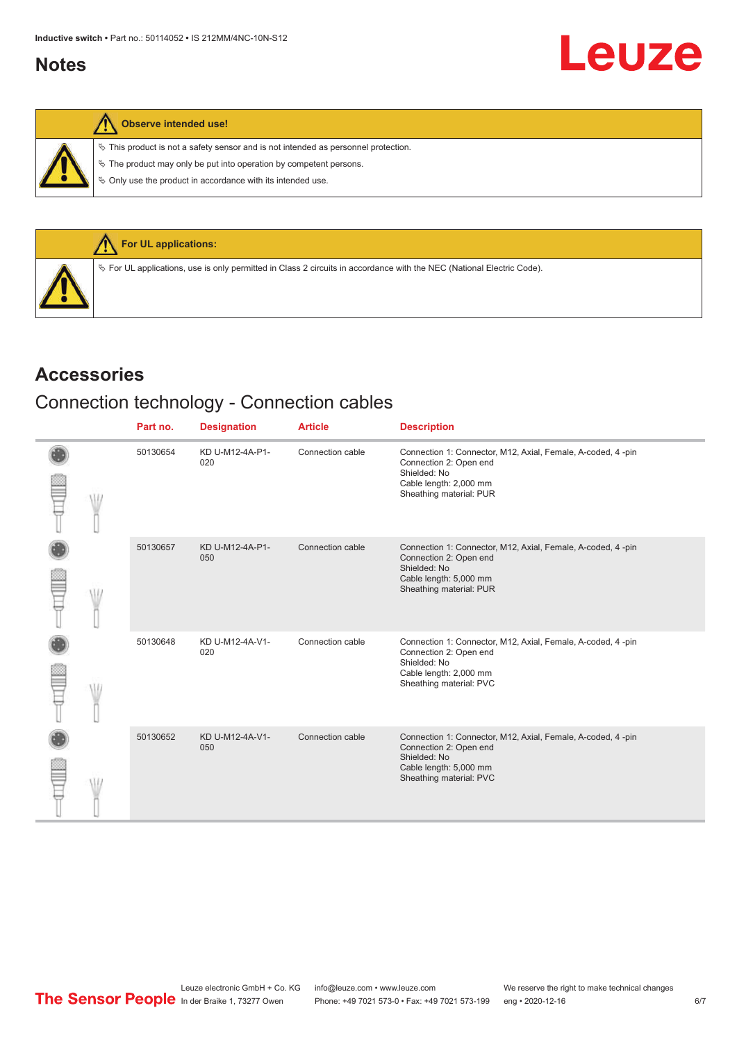#### <span id="page-5-0"></span>**Notes**

 $\%$  This product is not a safety sensor and is not intended as personnel protection.

 $\&$  The product may only be put into operation by competent persons.

 $\%$  Only use the product in accordance with its intended use.



#### **Accessories**

#### Connection technology - Connection cables

|  |  | Part no. | <b>Designation</b>     | <b>Article</b>   | <b>Description</b>                                                                                                                                         |
|--|--|----------|------------------------|------------------|------------------------------------------------------------------------------------------------------------------------------------------------------------|
|  |  | 50130654 | KD U-M12-4A-P1-<br>020 | Connection cable | Connection 1: Connector, M12, Axial, Female, A-coded, 4-pin<br>Connection 2: Open end<br>Shielded: No<br>Cable length: 2,000 mm<br>Sheathing material: PUR |
|  |  | 50130657 | KD U-M12-4A-P1-<br>050 | Connection cable | Connection 1: Connector, M12, Axial, Female, A-coded, 4-pin<br>Connection 2: Open end<br>Shielded: No<br>Cable length: 5,000 mm<br>Sheathing material: PUR |
|  |  | 50130648 | KD U-M12-4A-V1-<br>020 | Connection cable | Connection 1: Connector, M12, Axial, Female, A-coded, 4-pin<br>Connection 2: Open end<br>Shielded: No<br>Cable length: 2,000 mm<br>Sheathing material: PVC |
|  |  | 50130652 | KD U-M12-4A-V1-<br>050 | Connection cable | Connection 1: Connector, M12, Axial, Female, A-coded, 4-pin<br>Connection 2: Open end<br>Shielded: No<br>Cable length: 5,000 mm<br>Sheathing material: PVC |

Leuze